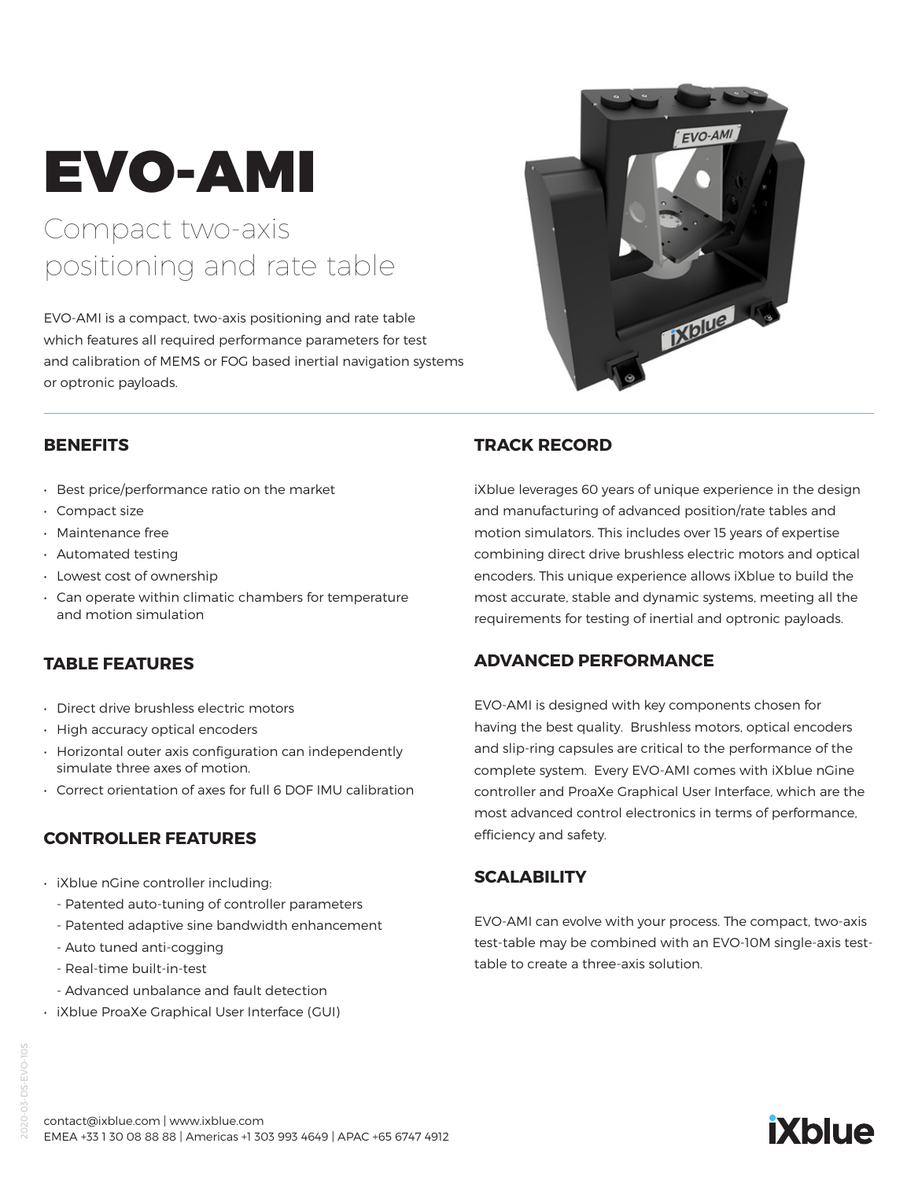# EVO-AMI

# Compact two-axis positioning and rate table

EVO-AMI is a compact, two-axis positioning and rate table which features all required performance parameters for test and calibration of MEMS or FOG based inertial navigation systems or optronic payloads.



#### **BENEFITS**

- Best price/performance ratio on the market
- Compact size
- Maintenance free
- Automated testing
- Lowest cost of ownership
- Can operate within climatic chambers for temperature and motion simulation

# **TABLE FEATURES**

- Direct drive brushless electric motors
- High accuracy optical encoders
- Horizontal outer axis configuration can independently simulate three axes of motion.
- Correct orientation of axes for full 6 DOF IMU calibration

# **CONTROLLER FEATURES**

- iXblue nGine controller including:
	- Patented auto-tuning of controller parameters
	- Patented adaptive sine bandwidth enhancement
	- Auto tuned anti-cogging
	- Real-time built-in-test
	- Advanced unbalance and fault detection
- iXblue ProaXe Graphical User Interface (GUI)

#### **TRACK RECORD**

iXblue leverages 60 years of unique experience in the design and manufacturing of advanced position/rate tables and motion simulators. This includes over 15 years of expertise combining direct drive brushless electric motors and optical encoders. This unique experience allows iXblue to build the most accurate, stable and dynamic systems, meeting all the requirements for testing of inertial and optronic payloads.

#### **ADVANCED PERFORMANCE**

EVO-AMI is designed with key components chosen for having the best quality. Brushless motors, optical encoders and slip-ring capsules are critical to the performance of the complete system. Every EVO-AMI comes with iXblue nGine controller and ProaXe Graphical User Interface, which are the most advanced control electronics in terms of performance, efficiency and safety.

# **SCALABILITY**

EVO-AMI can evolve with your process. The compact, two-axis test-table may be combined with an EVO-10M single-axis testtable to create a three-axis solution.

**iXblue**